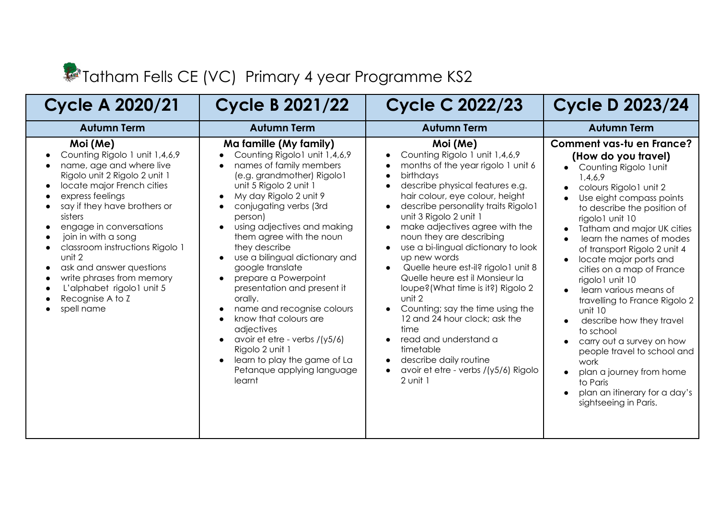## Tatham Fells CE (VC) Primary 4 year Programme KS2

| <b>Cycle A 2020/21</b>                                                                                                                                                                                                                                                                                                                                                                                                                   | <b>Cycle B 2021/22</b>                                                                                                                                                                                                                                                                                                                                                                                                                                                                                                                                                                                           | <b>Cycle C 2022/23</b>                                                                                                                                                                                                                                                                                                                                                                                                                                                                                                                                                                                                                                                               | <b>Cycle D 2023/24</b>                                                                                                                                                                                                                                                                                                                                                                                                                                                                                                                                                                                                                                                                                                                      |
|------------------------------------------------------------------------------------------------------------------------------------------------------------------------------------------------------------------------------------------------------------------------------------------------------------------------------------------------------------------------------------------------------------------------------------------|------------------------------------------------------------------------------------------------------------------------------------------------------------------------------------------------------------------------------------------------------------------------------------------------------------------------------------------------------------------------------------------------------------------------------------------------------------------------------------------------------------------------------------------------------------------------------------------------------------------|--------------------------------------------------------------------------------------------------------------------------------------------------------------------------------------------------------------------------------------------------------------------------------------------------------------------------------------------------------------------------------------------------------------------------------------------------------------------------------------------------------------------------------------------------------------------------------------------------------------------------------------------------------------------------------------|---------------------------------------------------------------------------------------------------------------------------------------------------------------------------------------------------------------------------------------------------------------------------------------------------------------------------------------------------------------------------------------------------------------------------------------------------------------------------------------------------------------------------------------------------------------------------------------------------------------------------------------------------------------------------------------------------------------------------------------------|
| <b>Autumn Term</b>                                                                                                                                                                                                                                                                                                                                                                                                                       | <b>Autumn Term</b>                                                                                                                                                                                                                                                                                                                                                                                                                                                                                                                                                                                               | <b>Autumn Term</b>                                                                                                                                                                                                                                                                                                                                                                                                                                                                                                                                                                                                                                                                   | <b>Autumn Term</b>                                                                                                                                                                                                                                                                                                                                                                                                                                                                                                                                                                                                                                                                                                                          |
| Moi (Me)<br>Counting Rigolo 1 unit 1,4,6,9<br>name, age and where live<br>Rigolo unit 2 Rigolo 2 unit 1<br>locate major French cities<br>express feelings<br>say if they have brothers or<br>sisters<br>engage in conversations<br>join in with a song<br>classroom instructions Rigolo 1<br>unit 2<br>ask and answer questions<br>$\bullet$<br>write phrases from memory<br>L'alphabet rigolo1 unit 5<br>Recognise A to Z<br>spell name | Ma famille (My family)<br>Counting Rigolo1 unit 1,4,6,9<br>names of family members<br>(e.g. grandmother) Rigolo1<br>unit 5 Rigolo 2 unit 1<br>My day Rigolo 2 unit 9<br>conjugating verbs (3rd<br>person)<br>using adjectives and making<br>them agree with the noun<br>they describe<br>use a bilingual dictionary and<br>google translate<br>prepare a Powerpoint<br>presentation and present it<br>orally.<br>name and recognise colours<br>know that colours are<br>adjectives<br>avoir et etre - verbs $/(y5/6)$<br>Rigolo 2 unit 1<br>learn to play the game of La<br>Petanque applying language<br>learnt | Moi (Me)<br>Counting Rigolo 1 unit 1,4,6,9<br>months of the year rigolo 1 unit 6<br>birthdays<br>describe physical features e.g.<br>hair colour, eye colour, height<br>describe personality traits Rigolo1<br>unit 3 Rigolo 2 unit 1<br>make adjectives agree with the<br>noun they are describing<br>use a bi-lingual dictionary to look<br>up new words<br>Quelle heure est-il? rigolo1 unit 8<br>Quelle heure est il Monsieur la<br>loupe? (What time is it?) Rigolo 2<br>unit 2<br>Counting; say the time using the<br>12 and 24 hour clock; ask the<br>time<br>read and understand a<br>timetable<br>describe daily routine<br>avoir et etre - verbs /(y5/6) Rigolo<br>2 unit 1 | <b>Comment vas-tu en France?</b><br>(How do you travel)<br>Counting Rigolo 1 unit<br>$\bullet$<br>1,4,6,9<br>colours Rigolo1 unit 2<br>Use eight compass points<br>to describe the position of<br>rigolo1 unit 10<br>Tatham and major UK cities<br>$\bullet$<br>learn the names of modes<br>$\bullet$<br>of transport Rigolo 2 unit 4<br>locate major ports and<br>$\bullet$<br>cities on a map of France<br>rigolo1 unit 10<br>learn various means of<br>travelling to France Rigolo 2<br>unit 10<br>describe how they travel<br>$\bullet$<br>to school<br>carry out a survey on how<br>people travel to school and<br>work<br>plan a journey from home<br>$\bullet$<br>to Paris<br>plan an itinerary for a day's<br>sightseeing in Paris. |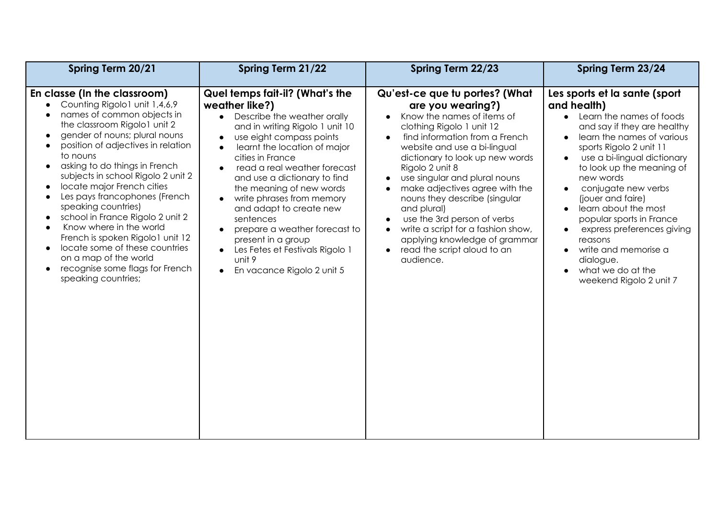| Spring Term 20/21                                                                                                                                                                                                                                                                                                                                                                                                                                                                                                                                                                                                                                                                                                        | Spring Term 21/22                                                                                                                                                                                                                                                                                                                                                                                                                                                                                                   | Spring Term 22/23                                                                                                                                                                                                                                                                                                                                                                                                                                                                                           | Spring Term 23/24                                                                                                                                                                                                                                                                                                                                                                                                                                                         |
|--------------------------------------------------------------------------------------------------------------------------------------------------------------------------------------------------------------------------------------------------------------------------------------------------------------------------------------------------------------------------------------------------------------------------------------------------------------------------------------------------------------------------------------------------------------------------------------------------------------------------------------------------------------------------------------------------------------------------|---------------------------------------------------------------------------------------------------------------------------------------------------------------------------------------------------------------------------------------------------------------------------------------------------------------------------------------------------------------------------------------------------------------------------------------------------------------------------------------------------------------------|-------------------------------------------------------------------------------------------------------------------------------------------------------------------------------------------------------------------------------------------------------------------------------------------------------------------------------------------------------------------------------------------------------------------------------------------------------------------------------------------------------------|---------------------------------------------------------------------------------------------------------------------------------------------------------------------------------------------------------------------------------------------------------------------------------------------------------------------------------------------------------------------------------------------------------------------------------------------------------------------------|
| En classe (In the classroom)<br>Counting Rigolo1 unit 1,4,6,9<br>names of common objects in<br>$\bullet$<br>the classroom Rigolo1 unit 2<br>gender of nouns; plural nouns<br>$\bullet$<br>position of adjectives in relation<br>to nouns<br>asking to do things in French<br>$\bullet$<br>subjects in school Rigolo 2 unit 2<br>locate major French cities<br>$\bullet$<br>Les pays francophones (French<br>$\bullet$<br>speaking countries)<br>school in France Rigolo 2 unit 2<br>$\bullet$<br>Know where in the world<br>$\bullet$<br>French is spoken Rigolo1 unit 12<br>locate some of these countries<br>$\bullet$<br>on a map of the world<br>recognise some flags for French<br>$\bullet$<br>speaking countries; | Quel temps fait-il? (What's the<br>weather like?)<br>Describe the weather orally<br>and in writing Rigolo 1 unit 10<br>use eight compass points<br>learnt the location of major<br>cities in France<br>read a real weather forecast<br>and use a dictionary to find<br>the meaning of new words<br>write phrases from memory<br>and adapt to create new<br>sentences<br>prepare a weather forecast to<br>present in a group<br>Les Fetes et Festivals Rigolo 1<br>unit 9<br>En vacance Rigolo 2 unit 5<br>$\bullet$ | Qu'est-ce que tu portes? (What<br>are you wearing?)<br>Know the names of items of<br>clothing Rigolo 1 unit 12<br>find information from a French<br>website and use a bi-lingual<br>dictionary to look up new words<br>Rigolo 2 unit 8<br>use singular and plural nouns<br>make adjectives agree with the<br>nouns they describe (singular<br>and plural)<br>use the 3rd person of verbs<br>write a script for a fashion show,<br>applying knowledge of grammar<br>read the script aloud to an<br>audience. | Les sports et la sante (sport<br>and health)<br>• Learn the names of foods<br>and say if they are healthy<br>learn the names of various<br>sports Rigolo 2 unit 11<br>use a bi-lingual dictionary<br>to look up the meaning of<br>new words<br>conjugate new verbs<br>(jouer and faire)<br>learn about the most<br>popular sports in France<br>express preferences giving<br>reasons<br>write and memorise a<br>dialogue.<br>what we do at the<br>weekend Rigolo 2 unit 7 |